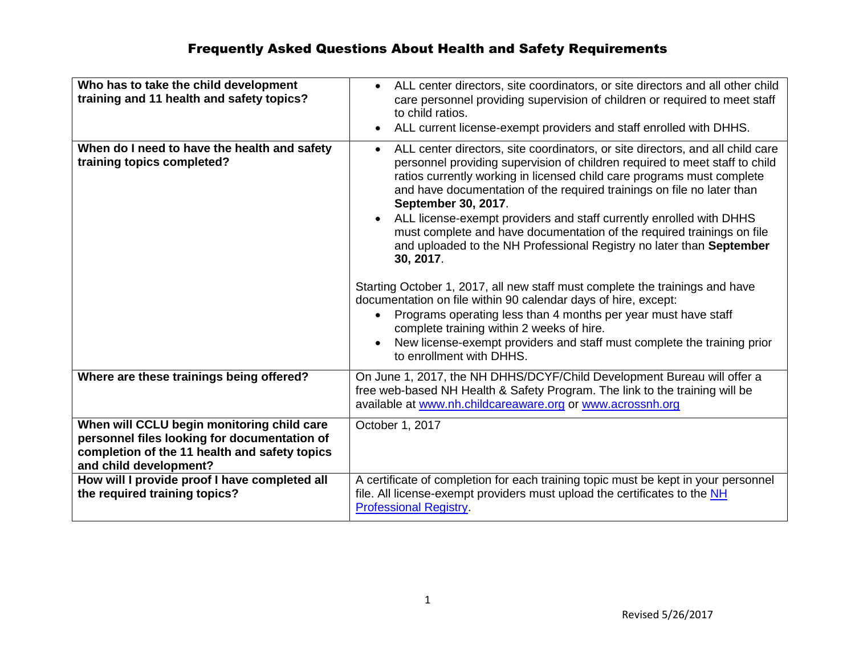| Who has to take the child development<br>training and 11 health and safety topics?                                                                                    | • ALL center directors, site coordinators, or site directors and all other child<br>care personnel providing supervision of children or required to meet staff<br>to child ratios.<br>ALL current license-exempt providers and staff enrolled with DHHS.                                                                                                                                                                                                                                                                                                                                                                                                                                                                                                                                                                                                                                                                                                            |
|-----------------------------------------------------------------------------------------------------------------------------------------------------------------------|---------------------------------------------------------------------------------------------------------------------------------------------------------------------------------------------------------------------------------------------------------------------------------------------------------------------------------------------------------------------------------------------------------------------------------------------------------------------------------------------------------------------------------------------------------------------------------------------------------------------------------------------------------------------------------------------------------------------------------------------------------------------------------------------------------------------------------------------------------------------------------------------------------------------------------------------------------------------|
| When do I need to have the health and safety<br>training topics completed?                                                                                            | ALL center directors, site coordinators, or site directors, and all child care<br>$\bullet$<br>personnel providing supervision of children required to meet staff to child<br>ratios currently working in licensed child care programs must complete<br>and have documentation of the required trainings on file no later than<br>September 30, 2017.<br>ALL license-exempt providers and staff currently enrolled with DHHS<br>must complete and have documentation of the required trainings on file<br>and uploaded to the NH Professional Registry no later than September<br>30, 2017.<br>Starting October 1, 2017, all new staff must complete the trainings and have<br>documentation on file within 90 calendar days of hire, except:<br>Programs operating less than 4 months per year must have staff<br>complete training within 2 weeks of hire.<br>New license-exempt providers and staff must complete the training prior<br>to enrollment with DHHS. |
| Where are these trainings being offered?                                                                                                                              | On June 1, 2017, the NH DHHS/DCYF/Child Development Bureau will offer a<br>free web-based NH Health & Safety Program. The link to the training will be<br>available at www.nh.childcareaware.org or www.acrossnh.org                                                                                                                                                                                                                                                                                                                                                                                                                                                                                                                                                                                                                                                                                                                                                |
| When will CCLU begin monitoring child care<br>personnel files looking for documentation of<br>completion of the 11 health and safety topics<br>and child development? | October 1, 2017                                                                                                                                                                                                                                                                                                                                                                                                                                                                                                                                                                                                                                                                                                                                                                                                                                                                                                                                                     |
| How will I provide proof I have completed all<br>the required training topics?                                                                                        | A certificate of completion for each training topic must be kept in your personnel<br>file. All license-exempt providers must upload the certificates to the NH<br><b>Professional Registry.</b>                                                                                                                                                                                                                                                                                                                                                                                                                                                                                                                                                                                                                                                                                                                                                                    |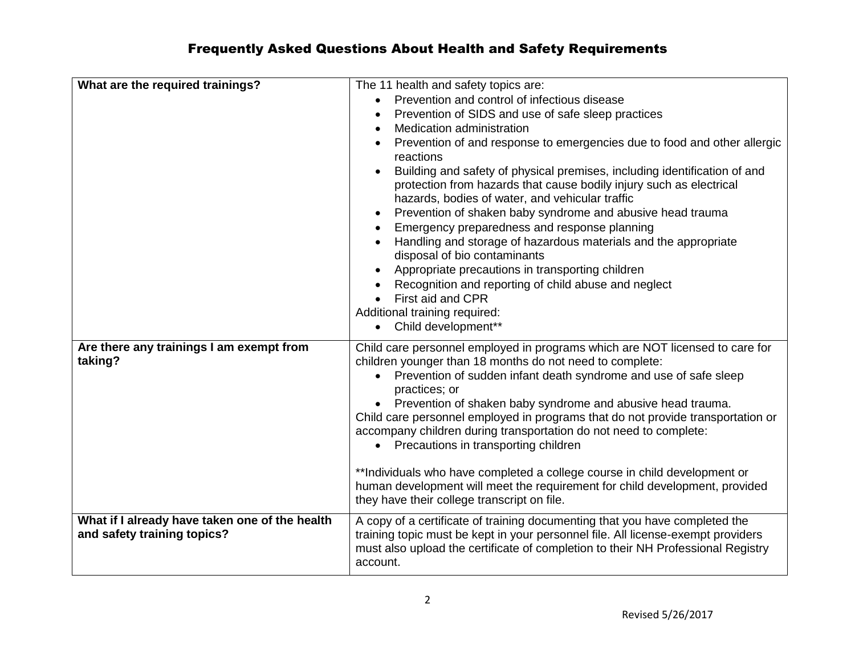| What are the required trainings?                                              | The 11 health and safety topics are:<br>Prevention and control of infectious disease<br>$\bullet$<br>Prevention of SIDS and use of safe sleep practices<br>Medication administration<br>Prevention of and response to emergencies due to food and other allergic<br>reactions<br>Building and safety of physical premises, including identification of and<br>protection from hazards that cause bodily injury such as electrical<br>hazards, bodies of water, and vehicular traffic<br>Prevention of shaken baby syndrome and abusive head trauma<br>$\bullet$<br>Emergency preparedness and response planning<br>Handling and storage of hazardous materials and the appropriate<br>disposal of bio contaminants<br>Appropriate precautions in transporting children<br>Recognition and reporting of child abuse and neglect<br>First aid and CPR<br>Additional training required:<br>Child development**<br>$\bullet$ |
|-------------------------------------------------------------------------------|--------------------------------------------------------------------------------------------------------------------------------------------------------------------------------------------------------------------------------------------------------------------------------------------------------------------------------------------------------------------------------------------------------------------------------------------------------------------------------------------------------------------------------------------------------------------------------------------------------------------------------------------------------------------------------------------------------------------------------------------------------------------------------------------------------------------------------------------------------------------------------------------------------------------------|
| Are there any trainings I am exempt from<br>taking?                           | Child care personnel employed in programs which are NOT licensed to care for<br>children younger than 18 months do not need to complete:<br>Prevention of sudden infant death syndrome and use of safe sleep<br>practices; or<br>Prevention of shaken baby syndrome and abusive head trauma.<br>Child care personnel employed in programs that do not provide transportation or<br>accompany children during transportation do not need to complete:<br>• Precautions in transporting children<br>**Individuals who have completed a college course in child development or<br>human development will meet the requirement for child development, provided<br>they have their college transcript on file.                                                                                                                                                                                                                |
| What if I already have taken one of the health<br>and safety training topics? | A copy of a certificate of training documenting that you have completed the<br>training topic must be kept in your personnel file. All license-exempt providers<br>must also upload the certificate of completion to their NH Professional Registry<br>account.                                                                                                                                                                                                                                                                                                                                                                                                                                                                                                                                                                                                                                                          |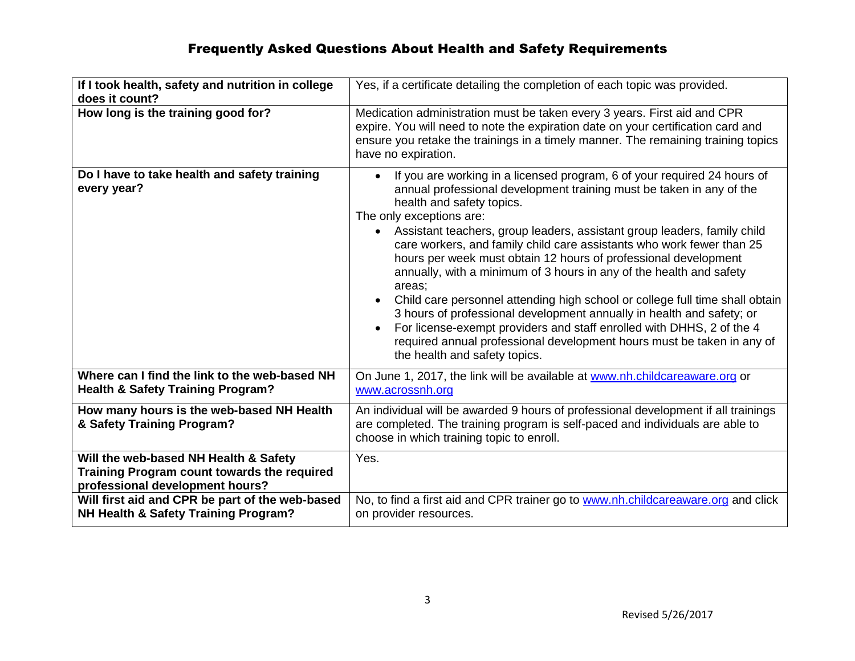| If I took health, safety and nutrition in college<br>does it count?                                                     | Yes, if a certificate detailing the completion of each topic was provided.                                                                                                                                                                                                                                                                                                                                                                                                                                                                                                                                                                                                                                                                                                                                                                                        |
|-------------------------------------------------------------------------------------------------------------------------|-------------------------------------------------------------------------------------------------------------------------------------------------------------------------------------------------------------------------------------------------------------------------------------------------------------------------------------------------------------------------------------------------------------------------------------------------------------------------------------------------------------------------------------------------------------------------------------------------------------------------------------------------------------------------------------------------------------------------------------------------------------------------------------------------------------------------------------------------------------------|
| How long is the training good for?                                                                                      | Medication administration must be taken every 3 years. First aid and CPR<br>expire. You will need to note the expiration date on your certification card and<br>ensure you retake the trainings in a timely manner. The remaining training topics<br>have no expiration.                                                                                                                                                                                                                                                                                                                                                                                                                                                                                                                                                                                          |
| Do I have to take health and safety training<br>every year?                                                             | If you are working in a licensed program, 6 of your required 24 hours of<br>annual professional development training must be taken in any of the<br>health and safety topics.<br>The only exceptions are:<br>• Assistant teachers, group leaders, assistant group leaders, family child<br>care workers, and family child care assistants who work fewer than 25<br>hours per week must obtain 12 hours of professional development<br>annually, with a minimum of 3 hours in any of the health and safety<br>areas;<br>Child care personnel attending high school or college full time shall obtain<br>3 hours of professional development annually in health and safety; or<br>For license-exempt providers and staff enrolled with DHHS, 2 of the 4<br>required annual professional development hours must be taken in any of<br>the health and safety topics. |
| Where can I find the link to the web-based NH<br><b>Health &amp; Safety Training Program?</b>                           | On June 1, 2017, the link will be available at www.nh.childcareaware.org or<br>www.acrossnh.org                                                                                                                                                                                                                                                                                                                                                                                                                                                                                                                                                                                                                                                                                                                                                                   |
| How many hours is the web-based NH Health<br>& Safety Training Program?                                                 | An individual will be awarded 9 hours of professional development if all trainings<br>are completed. The training program is self-paced and individuals are able to<br>choose in which training topic to enroll.                                                                                                                                                                                                                                                                                                                                                                                                                                                                                                                                                                                                                                                  |
| Will the web-based NH Health & Safety<br>Training Program count towards the required<br>professional development hours? | Yes.                                                                                                                                                                                                                                                                                                                                                                                                                                                                                                                                                                                                                                                                                                                                                                                                                                                              |
| Will first aid and CPR be part of the web-based<br>NH Health & Safety Training Program?                                 | No, to find a first aid and CPR trainer go to www.nh.childcareaware.org and click<br>on provider resources.                                                                                                                                                                                                                                                                                                                                                                                                                                                                                                                                                                                                                                                                                                                                                       |